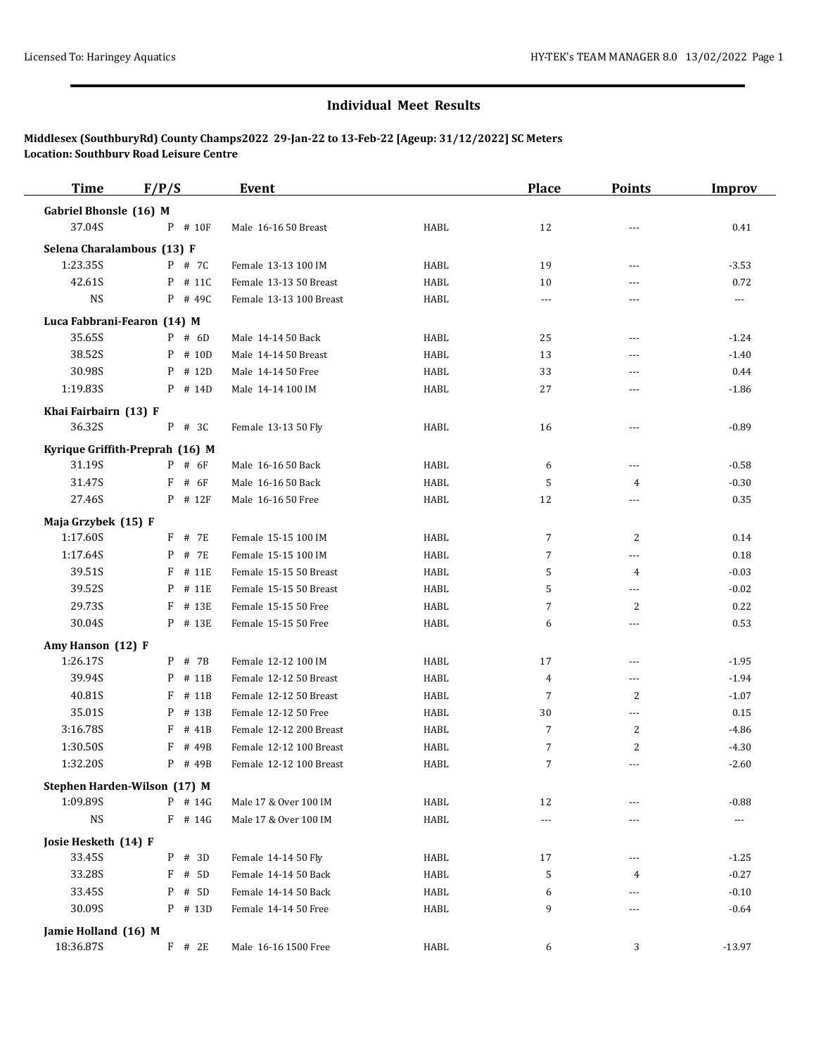## **Individual Meet Results**

**Middlesex (SouthburyRd) County Champs2022 29-Jan-22 to 13-Feb-22 [Ageup: 31/12/2022] SC Meters Location: Southbury Road Leisure Centre**

| <b>Time</b>                       | F/P/S                           | Event                   |      | <b>Place</b>   | <b>Points</b>  | <b>Improv</b>         |
|-----------------------------------|---------------------------------|-------------------------|------|----------------|----------------|-----------------------|
| Gabriel Bhonsle (16) M            |                                 |                         |      |                |                |                       |
| 37.04S                            | $P$ # 10F                       | Male 16-16 50 Breast    | HABL | 12             | ---            | 0.41                  |
| Selena Charalambous (13) F        |                                 |                         |      |                |                |                       |
| 1:23.35S                          | $P$ # 7C                        | Female 13-13 100 IM     | HABL | 19             | ---            | $-3.53$               |
| 42.61S                            | $P$ # 11C                       | Female 13-13 50 Breast  | HABL | 10             | ---            | 0.72                  |
| <b>NS</b>                         | $P$ # 49C                       | Female 13-13 100 Breast | HABL | $\cdots$       | ---            | $\scriptstyle\cdots$  |
|                                   | Luca Fabbrani-Fearon (14) M     |                         |      |                |                |                       |
| 35.65S                            | $P$ # 6D                        | Male 14-14 50 Back      | HABL | 25             | ---            | $-1.24$               |
| 38.52S                            | P # 10D                         | Male 14-14 50 Breast    | HABL | 13             | $---$          | $-1.40$               |
| 30.98S                            | # 12D<br>P                      | Male 14-14 50 Free      | HABL | 33             | $---$          | 0.44                  |
| 1:19.83S                          | P # 14D                         | Male 14-14 100 IM       | HABL | 27             | ---            | $-1.86$               |
|                                   |                                 |                         |      |                |                |                       |
| Khai Fairbairn (13) F<br>36.32S   | P # 3C                          | Female 13-13 50 Fly     | HABL | 16             | ---            | $-0.89$               |
|                                   |                                 |                         |      |                |                |                       |
|                                   | Kyrique Griffith-Preprah (16) M |                         |      |                |                |                       |
| 31.19S                            | $P$ # 6F                        | Male 16-16 50 Back      | HABL | 6              | ---            | $-0.58$               |
| 31.47S                            | F<br># 6F                       | Male 16-16 50 Back      | HABL | 5              | 4              | $-0.30$               |
| 27.46S                            | P # 12F                         | Male 16-16 50 Free      | HABL | 12             |                | 0.35                  |
| Maja Grzybek (15) F               |                                 |                         |      |                |                |                       |
| 1:17.60S                          | # 7E<br>F                       | Female 15-15 100 IM     | HABL | $\overline{7}$ | 2              | 0.14                  |
| 1:17.64S                          | # 7E<br>P                       | Female 15-15 100 IM     | HABL | 7              | ---            | 0.18                  |
| 39.51S                            | F<br># 11E                      | Female 15-15 50 Breast  | HABL | 5              | $\overline{4}$ | $-0.03$               |
| 39.52S                            | P<br># 11E                      | Female 15-15 50 Breast  | HABL | 5              | ---            | $-0.02$               |
| 29.73S                            | # 13E<br>F                      | Female 15-15 50 Free    | HABL | 7              | 2              | 0.22                  |
| 30.04S                            | P # 13E                         | Female 15-15 50 Free    | HABL | 6              | $\overline{a}$ | 0.53                  |
| Amy Hanson (12) F                 |                                 |                         |      |                |                |                       |
| 1:26.17S                          | P # 7B                          | Female 12-12 100 IM     | HABL | 17             | ---            | $-1.95$               |
| 39.94S                            | # 11B<br>P                      | Female 12-12 50 Breast  | HABL | $\overline{4}$ | ---            | $-1.94$               |
| 40.81S                            | F<br># 11B                      | Female 12-12 50 Breast  | HABL | 7              | 2              | $-1.07$               |
| 35.01S                            | # 13B<br>P                      | Female 12-12 50 Free    | HABL | 30             | $---$          | 0.15                  |
| 3:16.78S                          | F<br># 41B                      | Female 12-12 200 Breast | HABL | $\overline{7}$ | $\overline{2}$ | $-4.86$               |
| 1:30.50S                          | # 49B                           | Female 12-12 100 Breast | HABL | 7              | 2              | $-4.30$               |
| 1:32.20S                          | P<br># 49B                      | Female 12-12 100 Breast | HABL | $\overline{7}$ | ---            | $-2.60$               |
|                                   | Stephen Harden-Wilson (17) M    |                         |      |                |                |                       |
| 1:09.89S                          | P # 14G                         | Male 17 & Over 100 IM   | HABL | 12             |                | $-0.88$               |
| <b>NS</b>                         | $F$ # 14G                       | Male 17 & Over 100 IM   | HABL | $\overline{a}$ | ---            | $\scriptstyle \cdots$ |
| Josie Hesketh (14) F              |                                 |                         |      |                |                |                       |
| 33.45S                            | $P$ # 3D                        | Female 14-14 50 Fly     | HABL | 17             | $---$          | $-1.25$               |
| 33.28S                            | F<br># 5D                       | Female 14-14 50 Back    | HABL | 5              | 4              | $-0.27$               |
| 33.45S                            | # 5D<br>P                       | Female 14-14 50 Back    | HABL | 6              | ---            | $-0.10$               |
| 30.09S                            | P # 13D                         | Female 14-14 50 Free    | HABL | 9              | ---            | $-0.64$               |
|                                   |                                 |                         |      |                |                |                       |
| Jamie Holland (16) M<br>18:36.87S |                                 |                         |      |                |                |                       |
|                                   | $F$ # 2E                        | Male 16-16 1500 Free    | HABL | 6              | 3              | $-13.97$              |